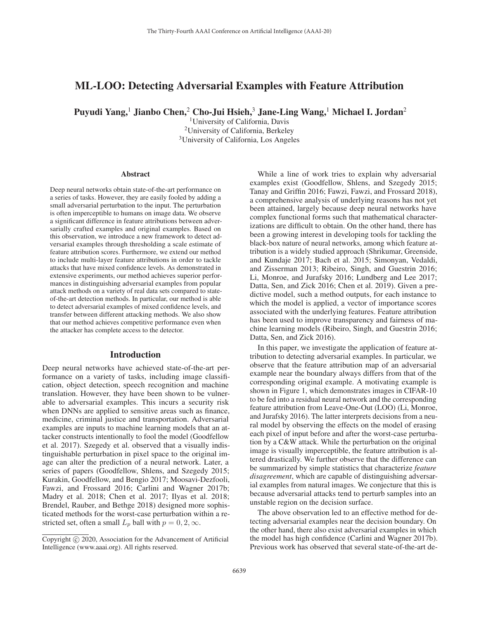# ML-LOO: Detecting Adversarial Examples with Feature Attribution

Puyudi Yang,<sup>1</sup> Jianbo Chen,<sup>2</sup> Cho-Jui Hsieh,<sup>3</sup> Jane-Ling Wang,<sup>1</sup> Michael I. Jordan<sup>2</sup>

1University of California, Davis 2University of California, Berkeley 3University of California, Los Angeles

#### **Abstract**

Deep neural networks obtain state-of-the-art performance on a series of tasks. However, they are easily fooled by adding a small adversarial perturbation to the input. The perturbation is often imperceptible to humans on image data. We observe a significant difference in feature attributions between adversarially crafted examples and original examples. Based on this observation, we introduce a new framework to detect adversarial examples through thresholding a scale estimate of feature attribution scores. Furthermore, we extend our method to include multi-layer feature attributions in order to tackle attacks that have mixed confidence levels. As demonstrated in extensive experiments, our method achieves superior performances in distinguishing adversarial examples from popular attack methods on a variety of real data sets compared to stateof-the-art detection methods. In particular, our method is able to detect adversarial examples of mixed confidence levels, and transfer between different attacking methods. We also show that our method achieves competitive performance even when the attacker has complete access to the detector.

# Introduction

Deep neural networks have achieved state-of-the-art performance on a variety of tasks, including image classification, object detection, speech recognition and machine translation. However, they have been shown to be vulnerable to adversarial examples. This incurs a security risk when DNNs are applied to sensitive areas such as finance, medicine, criminal justice and transportation. Adversarial examples are inputs to machine learning models that an attacker constructs intentionally to fool the model (Goodfellow et al. 2017). Szegedy et al. observed that a visually indistinguishable perturbation in pixel space to the original image can alter the prediction of a neural network. Later, a series of papers (Goodfellow, Shlens, and Szegedy 2015; Kurakin, Goodfellow, and Bengio 2017; Moosavi-Dezfooli, Fawzi, and Frossard 2016; Carlini and Wagner 2017b; Madry et al. 2018; Chen et al. 2017; Ilyas et al. 2018; Brendel, Rauber, and Bethge 2018) designed more sophisticated methods for the worst-case perturbation within a restricted set, often a small  $L_p$  ball with  $p = 0, 2, \infty$ .

While a line of work tries to explain why adversarial examples exist (Goodfellow, Shlens, and Szegedy 2015; Tanay and Griffin 2016; Fawzi, Fawzi, and Frossard 2018), a comprehensive analysis of underlying reasons has not yet been attained, largely because deep neural networks have complex functional forms such that mathematical characterizations are difficult to obtain. On the other hand, there has been a growing interest in developing tools for tackling the black-box nature of neural networks, among which feature attribution is a widely studied approach (Shrikumar, Greenside, and Kundaje 2017; Bach et al. 2015; Simonyan, Vedaldi, and Zisserman 2013; Ribeiro, Singh, and Guestrin 2016; Li, Monroe, and Jurafsky 2016; Lundberg and Lee 2017; Datta, Sen, and Zick 2016; Chen et al. 2019). Given a predictive model, such a method outputs, for each instance to which the model is applied, a vector of importance scores associated with the underlying features. Feature attribution has been used to improve transparency and fairness of machine learning models (Ribeiro, Singh, and Guestrin 2016; Datta, Sen, and Zick 2016).

In this paper, we investigate the application of feature attribution to detecting adversarial examples. In particular, we observe that the feature attribution map of an adversarial example near the boundary always differs from that of the corresponding original example. A motivating example is shown in Figure 1, which demonstrates images in CIFAR-10 to be fed into a residual neural network and the corresponding feature attribution from Leave-One-Out (LOO) (Li, Monroe, and Jurafsky 2016). The latter interprets decisions from a neural model by observing the effects on the model of erasing each pixel of input before and after the worst-case perturbation by a C&W attack. While the perturbation on the original image is visually imperceptible, the feature attribution is altered drastically. We further observe that the difference can be summarized by simple statistics that characterize *feature disagreement*, which are capable of distinguishing adversarial examples from natural images. We conjecture that this is because adversarial attacks tend to perturb samples into an unstable region on the decision surface.

The above observation led to an effective method for detecting adversarial examples near the decision boundary. On the other hand, there also exist adversarial examples in which the model has high confidence (Carlini and Wagner 2017b). Previous work has observed that several state-of-the-art de-

Copyright  $\odot$  2020, Association for the Advancement of Artificial Intelligence (www.aaai.org). All rights reserved.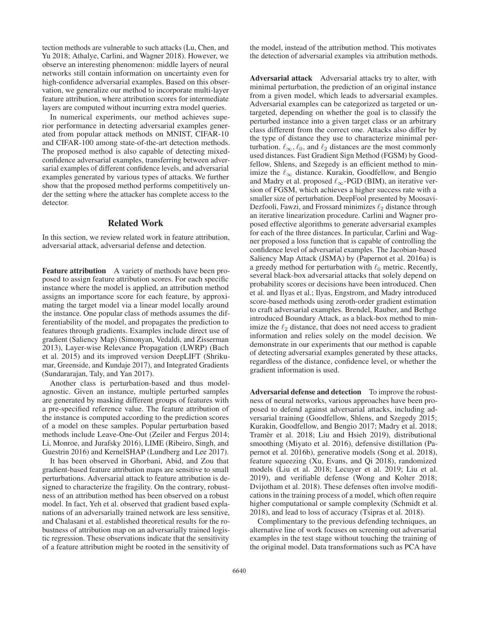tection methods are vulnerable to such attacks (Lu, Chen, and Yu 2018; Athalye, Carlini, and Wagner 2018). However, we observe an interesting phenomenon: middle layers of neural networks still contain information on uncertainty even for high-confidence adversarial examples. Based on this observation, we generalize our method to incorporate multi-layer feature attribution, where attribution scores for intermediate layers are computed without incurring extra model queries.

In numerical experiments, our method achieves superior performance in detecting adversarial examples generated from popular attack methods on MNIST, CIFAR-10 and CIFAR-100 among state-of-the-art detection methods. The proposed method is also capable of detecting mixedconfidence adversarial examples, transferring between adversarial examples of different confidence levels, and adversarial examples generated by various types of attacks. We further show that the proposed method performs competitively under the setting where the attacker has complete access to the detector.

## Related Work

In this section, we review related work in feature attribution, adversarial attack, adversarial defense and detection.

Feature attribution A variety of methods have been proposed to assign feature attribution scores. For each specific instance where the model is applied, an attribution method assigns an importance score for each feature, by approximating the target model via a linear model locally around the instance. One popular class of methods assumes the differentiability of the model, and propagates the prediction to features through gradients. Examples include direct use of gradient (Saliency Map) (Simonyan, Vedaldi, and Zisserman 2013), Layer-wise Relevance Propagation (LWRP) (Bach et al. 2015) and its improved version DeepLIFT (Shrikumar, Greenside, and Kundaje 2017), and Integrated Gradients (Sundararajan, Taly, and Yan 2017).

Another class is perturbation-based and thus modelagnostic. Given an instance, multiple perturbed samples are generated by masking different groups of features with a pre-specified reference value. The feature attribution of the instance is computed according to the prediction scores of a model on these samples. Popular perturbation based methods include Leave-One-Out (Zeiler and Fergus 2014; Li, Monroe, and Jurafsky 2016), LIME (Ribeiro, Singh, and Guestrin 2016) and KernelSHAP (Lundberg and Lee 2017).

It has been observed in Ghorbani, Abid, and Zou that gradient-based feature attribution maps are sensitive to small perturbations. Adversarial attack to feature attribution is designed to characterize the fragility. On the contrary, robustness of an attribution method has been observed on a robust model. In fact, Yeh et al. observed that gradient based explanations of an adversarially trained network are less sensitive, and Chalasani et al. established theoretical results for the robustness of attribution map on an adversarially trained logistic regression. These observations indicate that the sensitivity of a feature attribution might be rooted in the sensitivity of

the model, instead of the attribution method. This motivates the detection of adversarial examples via attribution methods.

Adversarial attack Adversarial attacks try to alter, with minimal perturbation, the prediction of an original instance from a given model, which leads to adversarial examples. Adversarial examples can be categorized as targeted or untargeted, depending on whether the goal is to classify the perturbed instance into a given target class or an arbitrary class different from the correct one. Attacks also differ by the type of distance they use to characterize minimal perturbation.  $\ell_{\infty}, \ell_0$ , and  $\ell_2$  distances are the most commonly used distances. Fast Gradient Sign Method (FGSM) by Goodfellow, Shlens, and Szegedy is an efficient method to minimize the  $\ell_{\infty}$  distance. Kurakin, Goodfellow, and Bengio and Madry et al. proposed  $\ell_{\infty}$ -PGD (BIM), an iterative version of FGSM, which achieves a higher success rate with a smaller size of perturbation. DeepFool presented by Moosavi-Dezfooli, Fawzi, and Frossard minimizes  $\ell_2$  distance through an iterative linearization procedure. Carlini and Wagner proposed effective algorithms to generate adversarial examples for each of the three distances. In particular, Carlini and Wagner proposed a loss function that is capable of controlling the confidence level of adversarial examples. The Jacobian-based Saliency Map Attack (JSMA) by (Papernot et al. 2016a) is a greedy method for perturbation with  $\ell_0$  metric. Recently, several black-box adversarial attacks that solely depend on probability scores or decisions have been introduced. Chen et al. and Ilyas et al.; Ilyas, Engstrom, and Madry introduced score-based methods using zeroth-order gradient estimation to craft adversarial examples. Brendel, Rauber, and Bethge introduced Boundary Attack, as a black-box method to minimize the  $\ell_2$  distance, that does not need access to gradient information and relies solely on the model decision. We demonstrate in our experiments that our method is capable of detecting adversarial examples generated by these attacks, regardless of the distance, confidence level, or whether the gradient information is used.

Adversarial defense and detection To improve the robustness of neural networks, various approaches have been proposed to defend against adversarial attacks, including adversarial training (Goodfellow, Shlens, and Szegedy 2015; Kurakin, Goodfellow, and Bengio 2017; Madry et al. 2018; Tramèr et al. 2018; Liu and Hsieh 2019), distributional smoothing (Miyato et al. 2016), defensive distillation (Papernot et al. 2016b), generative models (Song et al. 2018), feature squeezing (Xu, Evans, and Qi 2018), randomized models (Liu et al. 2018; Lecuyer et al. 2019; Liu et al. 2019), and verifiable defense (Wong and Kolter 2018; Dvijotham et al. 2018). These defenses often involve modifications in the training process of a model, which often require higher computational or sample complexity (Schmidt et al. 2018), and lead to loss of accuracy (Tsipras et al. 2018).

Complimentary to the previous defending techniques, an alternative line of work focuses on screening out adversarial examples in the test stage without touching the training of the original model. Data transformations such as PCA have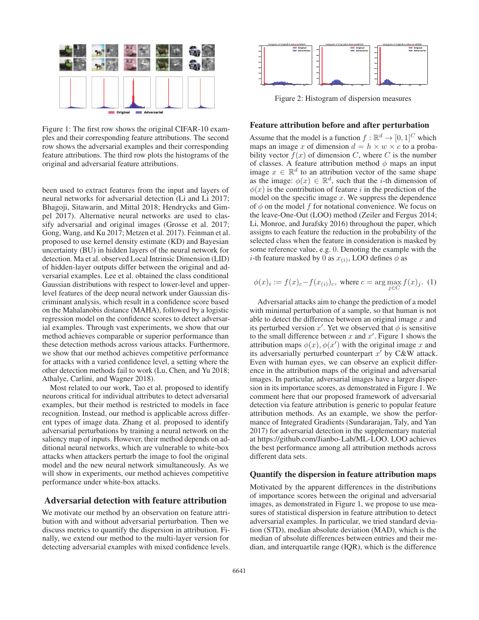

Figure 1: The first row shows the original CIFAR-10 examples and their corresponding feature attributions. The second row shows the adversarial examples and their corresponding feature attributions. The third row plots the histograms of the original and adversarial feature attributions.

been used to extract features from the input and layers of neural networks for adversarial detection (Li and Li 2017; Bhagoji, Sitawarin, and Mittal 2018; Hendrycks and Gimpel 2017). Alternative neural networks are used to classify adversarial and original images (Grosse et al. 2017; Gong, Wang, and Ku 2017; Metzen et al. 2017). Feinman et al. proposed to use kernel density estimate (KD) and Bayesian uncertainty (BU) in hidden layers of the neural network for detection. Ma et al. observed Local Intrinsic Dimension (LID) of hidden-layer outputs differ between the original and adversarial examples. Lee et al. obtained the class conditional Gaussian distributions with respect to lower-level and upperlevel features of the deep neural network under Gaussian discriminant analysis, which result in a confidence score based on the Mahalanobis distance (MAHA), followed by a logistic regression model on the confidence scores to detect adversarial examples. Through vast experiments, we show that our method achieves comparable or superior performance than these detection methods across various attacks. Furthermore, we show that our method achieves competitive performance for attacks with a varied confidence level, a setting where the other detection methods fail to work (Lu, Chen, and Yu 2018; Athalye, Carlini, and Wagner 2018).

Most related to our work, Tao et al. proposed to identify neurons critical for individual attributes to detect adversarial examples, but their method is restricted to models in face recognition. Instead, our method is applicable across different types of image data. Zhang et al. proposed to identify adversarial perturbations by training a neural network on the saliency map of inputs. However, their method depends on additional neural networks, which are vulnerable to white-box attacks when attackers perturb the image to fool the original model and the new neural network simultaneously. As we will show in experiments, our method achieves competitive performance under white-box attacks.

## Adversarial detection with feature attribution

We motivate our method by an observation on feature attribution with and without adversarial perturbation. Then we discuss metrics to quantify the dispersion in attribution. Finally, we extend our method to the multi-layer version for detecting adversarial examples with mixed confidence levels.



Figure 2: Histogram of dispersion measures

### Feature attribution before and after perturbation

Assume that the model is a function  $f : \mathbb{R}^d \to [0, 1]^C$  which maps an image x of dimension  $d = h \times w \times c$  to a probability vector  $f(x)$  of dimension C, where C is the number of classes. A feature attribution method  $\phi$  maps an input image  $x \in \mathbb{R}^d$  to an attribution vector of the same shape as the image:  $\phi(x) \in \mathbb{R}^d$ , such that the *i*-th dimension of  $\phi(x)$  is the contribution of feature i in the prediction of the model on the specific image  $x$ . We suppress the dependence of  $\phi$  on the model f for notational convenience. We focus on the leave-One-Out (LOO) method (Zeiler and Fergus 2014; Li, Monroe, and Jurafsky 2016) throughout the paper, which assigns to each feature the reduction in the probability of the selected class when the feature in consideration is masked by some reference value, e.g. 0. Denoting the example with the *i*-th feature masked by 0 as  $x_{(i)}$ , LOO defines  $\phi$  as

$$
\phi(x)_i := f(x)_c - f(x_{(i)})_c
$$
, where  $c = \arg \max_{j \in C} f(x)_j$ . (1)

Adversarial attacks aim to change the prediction of a model with minimal perturbation of a sample, so that human is not able to detect the difference between an original image  $x$  and its perturbed version x'. Yet we observed that  $\phi$  is sensitive to the small difference between x and  $x'$ . Figure 1 shows the attribution maps  $\phi(x)$ ,  $\phi(x')$  with the original image x and<br>its adversarially perturbed counternart x' by C&W attack its adversarially perturbed counterpart  $x'$  by C&W attack. Even with human eyes, we can observe an explicit difference in the attribution maps of the original and adversarial images. In particular, adversarial images have a larger dispersion in its importance scores, as demonstrated in Figure 1. We comment here that our proposed framework of adversarial detection via feature attribution is generic to popular feature attribution methods. As an example, we show the performance of Integrated Gradients (Sundararajan, Taly, and Yan 2017) for adversarial detection in the supplementary material at https://github.com/Jianbo-Lab/ML-LOO. LOO achieves the best performance among all attribution methods across different data sets.

## Quantify the dispersion in feature attribution maps

Motivated by the apparent differences in the distributions of importance scores between the original and adversarial images, as demonstrated in Figure 1, we propose to use measures of statistical dispersion in feature attribution to detect adversarial examples. In particular, we tried standard deviation (STD), median absolute deviation (MAD), which is the median of absolute differences between entries and their median, and interquartile range (IQR), which is the difference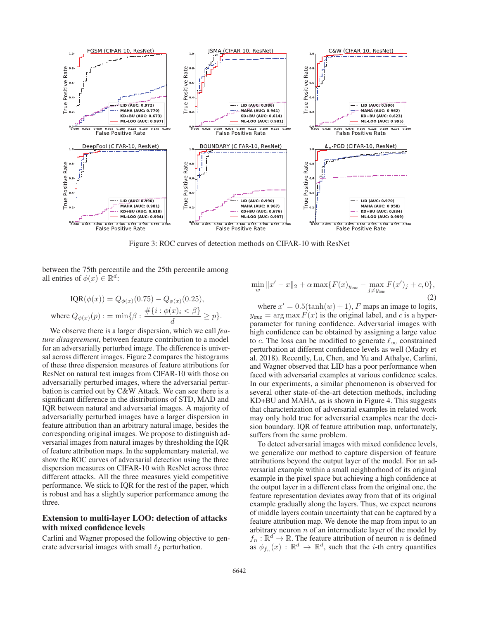

Figure 3: ROC curves of detection methods on CIFAR-10 with ResNet

between the 75th percentile and the 25th percentile among all entries of  $\phi(x) \in \mathbb{R}^d$ :

$$
IQR(\phi(x)) = Q_{\phi(x)}(0.75) - Q_{\phi(x)}(0.25),
$$
  
where  $Q_{\phi(x)}(p) := \min\{\beta : \frac{\#\{i : \phi(x)_i < \beta\}}{d} \ge p\}.$ 

We observe there is a larger dispersion, which we call *feature disagreement*, between feature contribution to a model for an adversarially perturbed image. The difference is universal across different images. Figure 2 compares the histograms of these three dispersion measures of feature attributions for ResNet on natural test images from CIFAR-10 with those on adversarially perturbed images, where the adversarial perturbation is carried out by C&W Attack. We can see there is a significant difference in the distributions of STD, MAD and IQR between natural and adversarial images. A majority of adversarially perturbed images have a larger dispersion in feature attribution than an arbitrary natural image, besides the corresponding original images. We propose to distinguish adversarial images from natural images by thresholding the IQR of feature attribution maps. In the supplementary material, we show the ROC curves of adversarial detection using the three dispersion measures on CIFAR-10 with ResNet across three different attacks. All the three measures yield competitive performance. We stick to IQR for the rest of the paper, which is robust and has a slightly superior performance among the three.

## Extension to multi-layer LOO: detection of attacks with mixed confidence levels

Carlini and Wagner proposed the following objective to generate adversarial images with small  $\ell_2$  perturbation.

$$
\min_{w} \|x' - x\|_2 + \alpha \max \{ F(x)_{y_{\text{true}}} - \max_{j \neq y_{\text{true}}} F(x')_j + c, 0 \},\tag{2}
$$

where  $x' = 0.5(\tanh(w) + 1)$ , F maps an image to logits,  $y_{true} = \arg \max F(x)$  is the original label, and c is a hyperparameter for tuning confidence. Adversarial images with high confidence can be obtained by assigning a large value to c. The loss can be modified to generate  $\ell_{\infty}$  constrained perturbation at different confidence levels as well (Madry et al. 2018). Recently, Lu, Chen, and Yu and Athalye, Carlini, and Wagner observed that LID has a poor performance when faced with adversarial examples at various confidence scales. In our experiments, a similar phenomenon is observed for several other state-of-the-art detection methods, including KD+BU and MAHA, as is shown in Figure 4. This suggests that characterization of adversarial examples in related work may only hold true for adversarial examples near the decision boundary. IQR of feature attribution map, unfortunately, suffers from the same problem.

To detect adversarial images with mixed confidence levels, we generalize our method to capture dispersion of feature attributions beyond the output layer of the model. For an adversarial example within a small neighborhood of its original example in the pixel space but achieving a high confidence at the output layer in a different class from the original one, the feature representation deviates away from that of its original example gradually along the layers. Thus, we expect neurons of middle layers contain uncertainty that can be captured by a feature attribution map. We denote the map from input to an arbitrary neuron  $n$  of an intermediate layer of the model by  $f_n : \mathbb{R}^d \to \mathbb{R}$ . The feature attribution of neuron *n* is defined<br>as  $\phi_k$   $(x) : \mathbb{R}^d \to \mathbb{R}^d$  such that the *i*-th entry quantifies as  $\phi_{f_n}(x) : \mathbb{R}^d \to \mathbb{R}^d$ , such that the *i*-th entry quantifies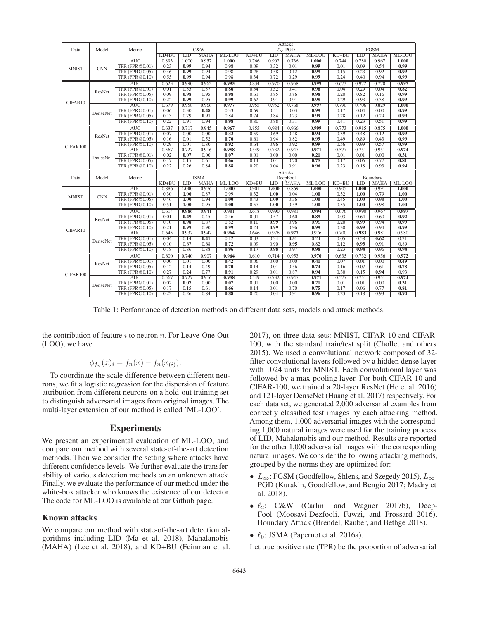|              |            | Metric                                  | Attacks      |              |              |              |              |              |                      |              |              |              |              |              |
|--------------|------------|-----------------------------------------|--------------|--------------|--------------|--------------|--------------|--------------|----------------------|--------------|--------------|--------------|--------------|--------------|
| Data         | Model      |                                         |              |              | C&W          |              |              |              | $\ell_{\infty}$ -PGD |              | <b>FGSM</b>  |              |              |              |
|              |            |                                         | $KD+BU$      | <b>LID</b>   | <b>MAHA</b>  | ML-LOO       | $KD+BU$      | <b>LID</b>   | <b>MAHA</b>          | ML-LOO       | $KD+BU$      | LID          | <b>MAHA</b>  | ML-LOO       |
| <b>MNIST</b> |            | AUC                                     | 0.893        | 1.000        | 0.957        | 1.000        | 0.766        | 0.902        | 0.736                | 1.000        | 0.744        | 0.780        | 0.967        | 1.000        |
|              | <b>CNN</b> | TPR (FPR@0.01)                          | 0.23         | 0.99         | 0.94         | 0.98         | 0.09         | 0.32         | 0.01                 | 0.99         | 0.01         | 0.09         | 0.54         | 0.99         |
|              |            | <b>TPR (FPR@0.05)</b>                   | 0.46         | 0.99         | 0.94         | 0.98         | 0.28         | 0.58         | 0.12                 | 0.99         | 0.15         | 0.23         | 0.92         | 0.99         |
|              |            | TPR (FPR@0.10)                          | 0.55         | 0.99         | 0.94         | 0.98         | 0.34         | 0.72         | 0.29                 | 0.99         | 0.24         | 0.40         | 0.94         | 0.99         |
|              |            | $\overline{\text{AUC}}$                 | 0.623        | 0.990        | 0.962        | 0.995        | 0.834        | 0.970        | 0.958                | 0.999        | 0.673        | 0.972        | 0.770        | 0.997        |
|              |            | TPR (FPR@0.01)                          | 0.01         | 0.55         | 0.57         | 0.86         | 0.54         | 0.52         | 0.41                 | 0.96         | 0.04         | 0.29         | 0.04         | 0.82         |
|              | ResNet     | <b>TPR (FPR@0.05)</b>                   | 0.09         | 0.98         | 0.95         | 0.98         | 0.61         | 0.85         | 0.86                 | 0.98         | 0.20         | 0.82         | 0.16         | 0.99         |
| CIFAR10      |            | TPR (FPR@0.10)                          | 0.22         | 0.99         | 0.95         | 0.99         | 0.62         | 0.91         | 0.91                 | 0.98         | 0.29         | 0.93         | 0.38         | 0.99         |
|              |            | <b>AUC</b>                              | 0.679        | 0.958        | 0.966        | 0.977        | 0.955        | 0.952        | 0.768                | 0.997        | 0.790        | 0.706        | 0.829        | 1.000        |
|              | DenseNet   | <b>TPR (FPR@0.01)</b>                   | 0.06         | 0.30         | 0.48         | 0.33         | 0.69         | 0.51         | 0.03                 | 0.99         | 0.17         | 0.04         | 0.00         | 0.99         |
|              |            | TPR (FPR@0.05)                          | 0.13         | 0.79         | 0.91         | 0.84         | 0.74         | 0.84         | 0.23                 | 0.99         | 0.28         | 0.12         | 0.29         | 0.99         |
|              |            | TPR (FPR@0.10)                          | 0.22         | 0.91         | 0.94         | 0.98         | 0.80         | 0.88         | 0.31                 | 0.99         | 0.41         | 0.23         | 0.51         | 0.99         |
|              |            | AUC                                     | 0.637        | 0.717        | 0.945        | 0.967        | 0.855        | 0.984        | 0.966                | 0.999        | 0.773        | 0.985        | 0.875        | 1.000        |
|              |            | <b>TPR (FPR@0.01)</b>                   | 0.07         | 0.00         | 0.00         | 0.33         | 0.59         | 0.69         | 0.48                 | 0.94         | 0.39         | 0.48         | 0.12         | 0.99         |
|              | ResNet     | TPR (FPR@0.05)                          | 0.16         | 0.01         | 0.52         | 0.70         | 0.61         | 0.94         | 0.82                 | 0.99         | 0.49         | 0.89         | 0.43         | 0.99         |
|              |            | TPR (FPR@0.10)                          | 0.29         | 0.01         | 0.80         | 0.92         | 0.64         | 0.96         | 0.92                 | 0.99         | 0.56         | 0.99         | 0.57         | 0.99         |
| CIFAR100     | DenseNet   | AUC                                     | 0.567        | 0.727        | 0.916        | 0.958        | 0.549        | 0.732        | 0.947                | 0.971        | 0.577        | 0.751        | 0.951        | 0.974        |
|              |            | TPR (FPR@0.01)                          | 0.02         | 0.07         | 0.00         | 0.07         | 0.01         | 0.00         | 0.00                 | 0.21         | 0.01         | 0.01         | 0.00         | 0.31         |
|              |            | TPR (FPR@0.05)                          | 0.17         | 0.15         | 0.61         | 0.66         | 0.14         | 0.01         | 0.70                 | 0.75         | 0.17         | 0.06         | 0.77         | 0.81         |
|              |            | <b>TPR (FPR@0.10)</b>                   | 0.22         | 0.26         | 0.84         | 0.88         | 0.20         | 0.04         | 0.91                 | 0.96         | 0.23         | 0.18         | 0.93         | 0.94         |
|              |            |                                         | Attacks      |              |              |              |              |              |                      |              |              |              |              |              |
|              |            |                                         |              |              |              |              |              |              |                      |              |              |              |              |              |
| Data         | Model      | Metric                                  |              |              | <b>JSMA</b>  |              |              |              | DeepFool             |              |              |              | Boundary     |              |
|              |            |                                         | $KD+BU$      | LID          | <b>MAHA</b>  | ML-LOO       | $KD+BU$      | <b>LID</b>   | <b>MAHA</b>          | ML-LOO       | $KD+BU$      | <b>LID</b>   | <b>MAHA</b>  | $ML-LOO$     |
|              |            | <b>AUC</b>                              | 0.886        | 1.000        | 0.976        | 1.000        | 0.901        | 1.000        | 0.869                | 1.000        | 0.905        | 1.000        | 0.991        | 1.000        |
|              |            | <b>TPR (FPR@0.01)</b>                   | 0.30         | 1.00         | 0.87         | 0.99         | 0.32         | 1.00         | 0.04                 | 1.00         | 0.32         | 1.00         | 0.79         | 1.00         |
| <b>MNIST</b> | <b>CNN</b> | TPR (FPR@0.05)                          | 0.46         | 1.00         | 0.94         | 1.00         | 0.43         | 1.00         | 0.36                 | 1.00         | 0.45         | 1.00         | 0.98         | 1.00         |
|              |            | TPR (FPR@0.10)                          | 0.51         | 1.00         | 0.95         | 1.00         | 0.57         | 1.00         | 0.59                 | 1.00         | 0.55         | 1.00         | 0.98         | 1.00         |
|              |            | <b>AUC</b>                              | 0.614        | 0.986        | 0.941        | 0.981        | 0.618        | 0.990        | 0.981                | 0.994        | 0.676        | 0.990        | 0.967        | 0.997        |
|              |            | <b>TPR (FPR@0.01)</b>                   | 0.01         | 0.49         | 0.45         | 0.46         | 0.01         | 0.57         | 0.60                 | 0.89         | 0.03         | 0.64         | 0.60         | 0.92         |
|              | ResNet     | TPR (FPR@0.05)                          | 0.10         | 0.98         | 0.87         | 0.82         | 0.10         | 0.99         | 0.96                 | 0.96         | 0.20         | 0.99         | 0.94         | 0.99         |
|              |            | <b>TPR (FPR@0.10)</b>                   | 0.21         | 0.99         | 0.90         | 0.99         | 0.24         | 0.99         | 0.96                 | 0.99         | 0.38         | 0.99         | 0.94         | 0.99         |
| CIFAR10      |            | AUC                                     | 0.645        | 0.937        | 0.947        | 0.964        | 0.646        | 0.976        | 0.977                | 0.976        | 0.700        | 0.983        | 0.981        | 0.980        |
|              |            | TPR (FPR@0.01)                          | 0.04         | 0.14         | 0.41         | 0.12         | 0.03         | 0.34         | 0.51                 | 0.24         | 0.05         | 0.58         | 0.62         | 0.31         |
|              | DenseNet   | TPR (FPR@ $0.05$ )                      | 0.10         | 0.67         | 0.68         | 0.72         | 0.09         | 0.90         | 0.95                 | 0.82         | 0.12         | 0.93         | 0.91         | 0.89         |
|              |            | <b>TPR (FPR@0.10)</b>                   | 0.18         | 0.86         | 0.88         | 0.96         | 0.17         | 0.98         | 0.97                 | 0.98         | 0.23         | 0.98         | 0.96         | 0.98         |
|              |            | <b>AUC</b>                              | 0.600        | 0.740        | 0.907        | 0.964        | 0.610        | 0.714        | 0.953                | 0.970        | 0.635        | 0.732        | 0.956        | 0.972        |
|              |            | TPR (FPR@0.01)                          | 0.00         | 0.01         | 0.00         | 0.42         | 0.06         | 0.00         | 0.00                 | 0.41         | 0.07         | 0.01         | 0.00         | 0.49         |
|              | ResNet     | TPR (FPR@0.05)                          | 0.12         | 0.14         | 0.49         | 0.70         | 0.14         | 0.01         | 0.56                 | 0.74         | 0.16         | 0.07         | 0.61         | 0.78         |
|              |            | <b>TPR (FPR@0.10)</b>                   | 0.27         | 0.24         | 0.77         | 0.91         | 0.29         | 0.01         | 0.87                 | 0.94         | 0.30         | 0.15         | 0.94         | 0.93         |
| CIFAR100     |            | <b>AUC</b>                              | 0.567        | 0.727        | 0.916        | 0.958        | 0.549        | 0.732        | 0.947                | 0.971        | 0.577        | 0.751        | 0.951        | 0.974        |
|              |            | TPR (FPR@0.01)                          | 0.02         | 0.07         | 0.00         | 0.07         | 0.01         | 0.00         | 0.00                 | 0.21         | 0.01         | 0.01         | 0.00         | 0.31         |
|              | DenseNet   | <b>TPR (FPR@0.05)</b><br>TPR (FPR@0.10) | 0.17<br>0.22 | 0.15<br>0.26 | 0.61<br>0.84 | 0.66<br>0.88 | 0.14<br>0.20 | 0.01<br>0.04 | 0.70<br>0.91         | 0.75<br>0.96 | 0.17<br>0.23 | 0.06<br>0.18 | 0.77<br>0.93 | 0.81<br>0.94 |

Table 1: Performance of detection methods on different data sets, models and attack methods.

the contribution of feature  $i$  to neuron  $n$ . For Leave-One-Out (LOO), we have

$$
\phi_{f_n}(x)_i = f_n(x) - f_n(x_{(i)}).
$$

To coordinate the scale difference between different neurons, we fit a logistic regression for the dispersion of feature attribution from different neurons on a hold-out training set to distinguish adversarial images from original images. The multi-layer extension of our method is called 'ML-LOO'.

## Experiments

We present an experimental evaluation of ML-LOO, and compare our method with several state-of-the-art detection methods. Then we consider the setting where attacks have different confidence levels. We further evaluate the transferability of various detection methods on an unknown attack. Finally, we evaluate the performance of our method under the white-box attacker who knows the existence of our detector. The code for ML-LOO is available at our Github page.

### Known attacks

We compare our method with state-of-the-art detection algorithms including LID (Ma et al. 2018), Mahalanobis (MAHA) (Lee et al. 2018), and KD+BU (Feinman et al. 2017), on three data sets: MNIST, CIFAR-10 and CIFAR-100, with the standard train/test split (Chollet and others 2015). We used a convolutional network composed of 32 filter convolutional layers followed by a hidden dense layer with 1024 units for MNIST. Each convolutional layer was followed by a max-pooling layer. For both CIFAR-10 and CIFAR-100, we trained a 20-layer ResNet (He et al. 2016) and 121-layer DenseNet (Huang et al. 2017) respectively. For each data set, we generated 2,000 adversarial examples from correctly classified test images by each attacking method. Among them, 1,000 adversarial images with the corresponding 1,000 natural images were used for the training process of LID, Mahalanobis and our method. Results are reported for the other 1,000 adversarial images with the corresponding natural images. We consider the following attacking methods, grouped by the norms they are optimized for:

- $L_{\infty}$ : FGSM (Goodfellow, Shlens, and Szegedy 2015),  $L_{\infty}$ -PGD (Kurakin, Goodfellow, and Bengio 2017; Madry et al. 2018).
- $\bullet$   $\ell_2$ : C&W (Carlini and Wagner 2017b), Deep-Fool (Moosavi-Dezfooli, Fawzi, and Frossard 2016), Boundary Attack (Brendel, Rauber, and Bethge 2018).
- $\bullet$   $\ell_0$ : JSMA (Papernot et al. 2016a).

Let true positive rate (TPR) be the proportion of adversarial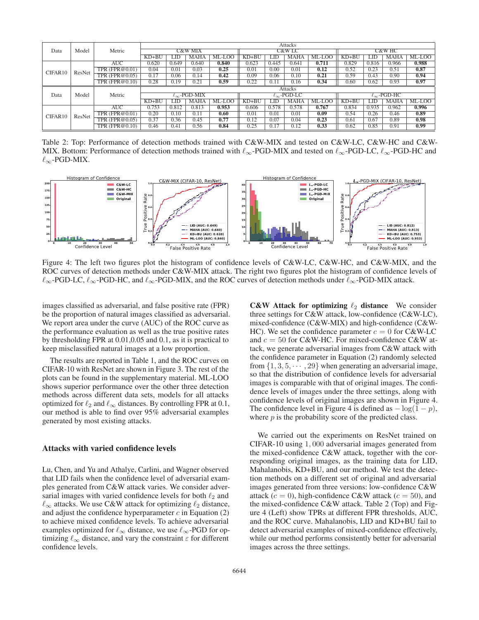|         |        |                      | Attacks        |       |                          |          |         |       |                         |          |                         |       |       |        |
|---------|--------|----------------------|----------------|-------|--------------------------|----------|---------|-------|-------------------------|----------|-------------------------|-------|-------|--------|
| Data    | Model  | Metric               |                |       | <b>C&amp;W MIX</b>       |          |         |       | C&W LC                  |          | C&W HC                  |       |       |        |
|         |        |                      | $KD+BU$        | LID   | <b>MAHA</b>              | $ML-LOO$ | $KD+BU$ | LID   | <b>MAHA</b>             | $ML-LOO$ | $KD+BU$                 | LID   | MAHA  | ML-LOO |
|         | ResNet | <b>AUC</b>           | 0.620          | 0.649 | 0.640                    | 0.840    | 0.623   | 0.445 | 0.641                   | 0.711    | 0.829                   | 0.816 | 0.966 | 0.988  |
| CIFAR10 |        | TPR $(FPR@0.01)$     | 0.04           | 0.01  | 0.03                     | 0.25     | 0.01    | 0.00  | 0.01                    | 0.12     | 0.52                    | 0.23  | 0.51  | 0.87   |
|         |        | TPR $(FPR@0.05)$     | 0.17           | 0.06  | 0.14                     | 0.42     | 0.09    | 0.06  | 0.10                    | 0.21     | 0.59                    | 0.43  | 0.90  | 0.94   |
|         |        | $TPR$ ( $FPR@0.10$ ) | 0.28           | 0.19  | 0.21                     | 0.59     | 0.22    | 0.11  | 0.16                    | 0.34     | 0.60                    | 0.62  | 0.93  | 0.97   |
|         |        | Metric               | <b>Attacks</b> |       |                          |          |         |       |                         |          |                         |       |       |        |
| Data    | Model  |                      |                |       | $\ell_{\infty}$ -PGD-MIX |          |         |       | $\ell_{\infty}$ -PGD-LC |          | $\ell_{\infty}$ -PGD-HC |       |       |        |
|         |        |                      | $KD+BU$        | ПD    | MAHA                     | ML-LOO   | $KD+BU$ | JЮ    | <b>MAHA</b>             | $ML-LOO$ | $KD+BU$                 | .ID   | MAHA  | ML-LOO |
|         |        | AUC                  | 0.753          | 0.812 | 0.813                    | 0.953    | 0.606   | 0.578 | 0.578                   | 0.767    | 0.834                   | 0.935 | 0.962 | 0.996  |
| CIFAR10 | ResNet | $TPR$ (FPR $@0.01$ ) | 0.20           | 0.10  | 0.11                     | 0.60     | 0.01    | 0.01  | 0.01                    | 0.09     | 0.54                    | 0.26  | 0.46  | 0.89   |
|         |        | $TPR$ (FPR $@0.05$ ) | 0.37           | 0.36  | 0.45                     | 0.77     | 0.12    | 0.07  | 0.04                    | 0.23     | 0.61                    | 0.67  | 0.89  | 0.98   |
|         |        | $TPR$ (FPR@0.10)     | 0.46           | 0.41  | 0.56                     | 0.84     | 0.25    | 0.17  | 0.12                    | 0.33     | 0.62                    | 0.85  | 0.91  | 0.99   |

Table 2: Top: Performance of detection methods trained with C&W-MIX and tested on C&W-LC, C&W-HC and C&W-MIX. Bottom: Performance of detection methods trained with  $\ell_{\infty}$ -PGD-MIX and tested on  $\ell_{\infty}$ -PGD-LC,  $\ell_{\infty}$ -PGD-HC and  $\ell_{\infty}$ -PGD-MIX.



Figure 4: The left two figures plot the histogram of confidence levels of C&W-LC, C&W-HC, and C&W-MIX, and the ROC curves of detection methods under C&W-MIX attack. The right two figures plot the histogram of confidence levels of  $\ell_{\infty}$ -PGD-LC,  $\ell_{\infty}$ -PGD-HC, and  $\ell_{\infty}$ -PGD-MIX, and the ROC curves of detection methods under  $\ell_{\infty}$ -PGD-MIX attack.

images classified as adversarial, and false positive rate (FPR) be the proportion of natural images classified as adversarial. We report area under the curve (AUC) of the ROC curve as the performance evaluation as well as the true positive rates by thresholding FPR at 0.01,0.05 and 0.1, as it is practical to keep misclassified natural images at a low proportion.

The results are reported in Table 1, and the ROC curves on CIFAR-10 with ResNet are shown in Figure 3. The rest of the plots can be found in the supplementary material. ML-LOO shows superior performance over the other three detection methods across different data sets, models for all attacks optimized for  $\ell_2$  and  $\ell_{\infty}$  distances. By controlling FPR at 0.1, our method is able to find over 95% adversarial examples generated by most existing attacks.

#### Attacks with varied confidence levels

Lu, Chen, and Yu and Athalye, Carlini, and Wagner observed that LID fails when the confidence level of adversarial examples generated from C&W attack varies. We consider adversarial images with varied confidence levels for both  $\ell_2$  and  $\ell_{\infty}$  attacks. We use C&W attack for optimizing  $\ell_2$  distance, and adjust the confidence hyperparameter  $c$  in Equation (2) to achieve mixed confidence levels. To achieve adversarial examples optimized for  $\ell_{\infty}$  distance, we use  $\ell_{\infty}$ -PGD for optimizing  $\ell_{\infty}$  distance, and vary the constraint  $\varepsilon$  for different confidence levels.

C&W Attack for optimizing  $\ell_2$  distance We consider three settings for C&W attack, low-confidence (C&W-LC), mixed-confidence (C&W-MIX) and high-confidence (C&W-HC). We set the confidence parameter  $c = 0$  for C&W-LC and  $c = 50$  for C&W-HC. For mixed-confidence C&W attack, we generate adversarial images from C&W attack with the confidence parameter in Equation (2) randomly selected from  $\{1, 3, 5, \dots, 29\}$  when generating an adversarial image, so that the distribution of confidence levels for adversarial images is comparable with that of original images. The confidence levels of images under the three settings, along with confidence levels of original images are shown in Figure 4. The confidence level in Figure 4 is defined as  $-\log(1-p)$ , where  $p$  is the probability score of the predicted class.

We carried out the experiments on ResNet trained on CIFAR-10 using 1, 000 adversarial images generated from the mixed-confidence C&W attack, together with the corresponding original images, as the training data for LID, Mahalanobis, KD+BU, and our method. We test the detection methods on a different set of original and adversarial images generated from three versions: low-confidence C&W attack ( $c = 0$ ), high-confidence C&W attack ( $c = 50$ ), and the mixed-confidence C&W attack. Table 2 (Top) and Figure 4 (Left) show TPRs at different FPR thresholds, AUC, and the ROC curve. Mahalanobis, LID and KD+BU fail to detect adversarial examples of mixed-confidence effectively, while our method performs consistently better for adversarial images across the three settings.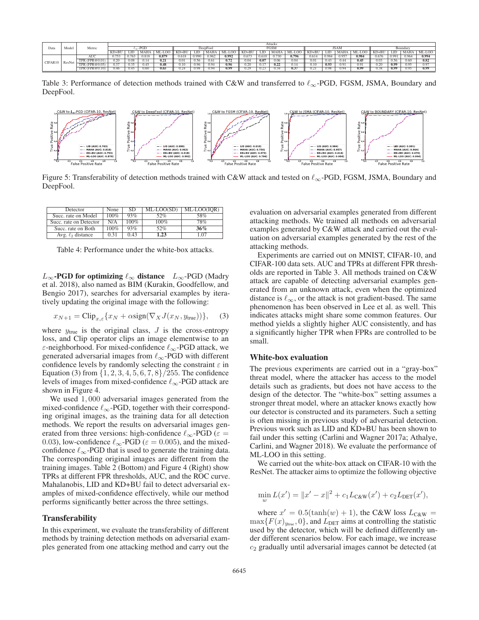|                   |                   | Attacks     |        |       |          |         |       |       |       |         |       |       |       |         |          |                |        |         |       |       |        |
|-------------------|-------------------|-------------|--------|-------|----------|---------|-------|-------|-------|---------|-------|-------|-------|---------|----------|----------------|--------|---------|-------|-------|--------|
| Model<br>Data     | Metric            | $\sim$ -PGD |        |       | DeepFool |         |       | FGSM  |       |         | JSAN  |       |       |         | Boundary |                |        |         |       |       |        |
|                   |                   | KD+BU       |        | MAHA  | -LOC     | $KD+BU$ | LID.  | MAHA  | .-LOO | $KD+BU$ | ∟ID - | MAH   | '-LOC | $KD+BU$ | LID.     | MAHA           | ML-LOC | $KD+BU$ | LID.  | MAHA  | ML-LOO |
| CIFAR10<br>ResNet | AU <sub>C</sub>   | 0.753       | 0.763  | 0.818 | 0.87     | 0.618   | 0.990 | 0.962 | 0.992 | 0.67    | 0.610 | 0.730 | 0.796 | $0.61-$ | 0.984    | $0.95^{\circ}$ | 0.984  | 0.676   | 0.991 | 0.964 | 0.994  |
|                   | (FPR@0.01)<br>TPR | 5.20        | 0.08   | 0.14  | 0.21     | 0.01    | ).56  | 0.61  | 0.72  | 0.04    | 0.07  | 0.06  | 0.04  | 0.01    | 0.43     | 0.4            | 0.45   | 0.03    | 0.56  | 0.60  |        |
|                   | TPR (FPR@0.05)    | J.37        | $\sim$ | 0.45  | 0.48     | 0.10    | 0.96  | 0.94  | 0.96  | 0.20    |       | 0.22  | 0.14  | 0.10    | 0.93     | D.Y.           | 0.91   | 0.20    | 0.99  | 0.95  | 0.9    |
|                   | TPR (FPR@0.10)    | 0.46        |        | 0.60  | 0.65     | 0.24    | 0.98  | 0.94  | 0.99  | 1.29    | 22    | 0.34  | 0.37  | U.Z I   | 0.98     | 0.94           | 0.99   | 0.38    | 0.99  | 0.95  | 0.99   |

Table 3: Performance of detection methods trained with C&W and transferred to  $\ell_{\infty}$ -PGD, FGSM, JSMA, Boundary and DeepFool.



Figure 5: Transferability of detection methods trained with C&W attack and tested on  $\ell_{\infty}$ -PGD, FGSM, JSMA, Boundary and DeepFool.

| Detector               | None    | SD.     | ML-LOO(SD) | ML-LOO(IOR) |
|------------------------|---------|---------|------------|-------------|
| Succ. rate on Model    | $100\%$ | 93%     | 52%        | 58%         |
| Succ. rate on Detector | N/A     | $100\%$ | $100\%$    | 78%         |
| Succ. rate on Both     | $100\%$ | 93%     | 52%        | 36%         |
| Avg. $\ell_2$ distance | 0.31    | 0.43    | 1.23       | 1.07        |

Table 4: Performance under the white-box attacks.

 $L_{\infty}$ -PGD for optimizing  $\ell_{\infty}$  distance  $L_{\infty}$ -PGD (Madry et al. 2018), also named as BIM (Kurakin, Goodfellow, and Bengio 2017), searches for adversarial examples by iteratively updating the original image with the following:

$$
x_{N+1} = \text{Clip}_{x,\varepsilon} \{ x_N + \alpha \text{sign}(\nabla_X J(x_N, y_{\text{true}})) \},\tag{3}
$$

where  $y_{true}$  is the original class,  $J$  is the cross-entropy loss, and Clip operator clips an image elementwise to an  $\varepsilon$ -neighborhood. For mixed-confidence  $\ell_{\infty}$ -PGD attack, we generated adversarial images from  $\ell_{\infty}$ -PGD with different confidence levels by randomly selecting the constraint  $\varepsilon$  in Equation (3) from  $\{1, 2, 3, 4, 5, 6, 7, 8\}/255$ . The confidence levels of images from mixed-confidence  $\ell_{\infty}$ -PGD attack are shown in Figure 4.

We used  $1,000$  adversarial images generated from the mixed-confidence  $\ell_{\infty}$ -PGD, together with their corresponding original images, as the training data for all detection methods. We report the results on adversarial images generated from three versions: high-confidence  $\ell_{\infty}$ -PGD ( $\varepsilon = 0.03$ ) low-confidence  $\ell_{\infty}$ -PGD ( $\varepsilon = 0.005$ ) and the mixed 0.03), low-confidence  $\ell_{\infty}$ -PGD ( $\varepsilon = 0.005$ ), and the mixed-confidence  $\ell_{\infty}$ -PGD that is used to generate the training data confidence  $\ell_{\infty}$ -PGD that is used to generate the training data. The corresponding original images are different from the training images. Table 2 (Bottom) and Figure 4 (Right) show TPRs at different FPR thresholds, AUC, and the ROC curve. Mahalanobis, LID and KD+BU fail to detect adversarial examples of mixed-confidence effectively, while our method performs significantly better across the three settings.

### **Transferability**

In this experiment, we evaluate the transferability of different methods by training detection methods on adversarial examples generated from one attacking method and carry out the

evaluation on adversarial examples generated from different attacking methods. We trained all methods on adversarial examples generated by C&W attack and carried out the evaluation on adversarial examples generated by the rest of the attacking methods.

Experiments are carried out on MNIST, CIFAR-10, and CIFAR-100 data sets. AUC and TPRs at different FPR thresholds are reported in Table 3. All methods trained on C&W attack are capable of detecting adversarial examples generated from an unknown attack, even when the optimized distance is  $\ell_{\infty}$ , or the attack is not gradient-based. The same phenomenon has been observed in Lee et al. as well. This indicates attacks might share some common features. Our method yields a slightly higher AUC consistently, and has a significantly higher TPR when FPRs are controlled to be small.

#### White-box evaluation

The previous experiments are carried out in a "gray-box" threat model, where the attacker has access to the model details such as gradients, but does not have access to the design of the detector. The "white-box" setting assumes a stronger threat model, where an attacker knows exactly how our detector is constructed and its parameters. Such a setting is often missing in previous study of adversarial detection. Previous work such as LID and KD+BU has been shown to fail under this setting (Carlini and Wagner 2017a; Athalye, Carlini, and Wagner 2018). We evaluate the performance of ML-LOO in this setting.

We carried out the white-box attack on CIFAR-10 with the ResNet. The attacker aims to optimize the following objective

$$
\min_{w} L(x') = ||x' - x||^2 + c_1 L_{\text{C\&W}}(x') + c_2 L_{\text{DET}}(x'),
$$

where  $x' = 0.5(\tanh(w) + 1)$ , the C&W loss  $L_{C\&W}$  =  $\max\{F(x)_{y_{\text{true}}}, 0\}$ , and  $L_{\text{DET}}$  aims at controlling the statistic used by the detector, which will be defined differently under different scenarios below. For each image, we increase  $c<sub>2</sub>$  gradually until adversarial images cannot be detected (at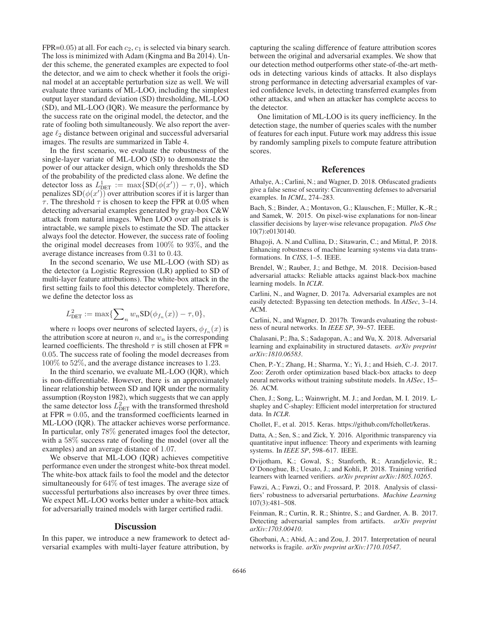FPR=0.05) at all. For each  $c_2$ ,  $c_1$  is selected via binary search. The loss is minimized with Adam (Kingma and Ba 2014). Under this scheme, the generated examples are expected to fool the detector, and we aim to check whether it fools the original model at an acceptable perturbation size as well. We will evaluate three variants of ML-LOO, including the simplest output layer standard deviation (SD) thresholding, ML-LOO (SD), and ML-LOO (IQR). We measure the performance by the success rate on the original model, the detector, and the rate of fooling both simultaneously. We also report the average  $\ell_2$  distance between original and successful adversarial images. The results are summarized in Table 4.

In the first scenario, we evaluate the robustness of the single-layer variate of ML-LOO (SD) to demonstrate the power of our attacker design, which only thresholds the SD of the probability of the predicted class alone. We define the detector loss as  $L_{\text{DET}}^1 := \max\{SD(\phi(x')) - \tau, 0\}$ , which<br>penalizes  $SD(\phi(x'))$  over attribution scores if it is larger than penalizes  $SD(\phi(x'))$  over attribution scores if it is larger than  $\tau$ . The threshold  $\tau$  is chosen to keep the FPR at 0.05 when  $\tau$ . The threshold  $\tau$  is chosen to keep the FPR at 0.05 when detecting adversarial examples generated by gray-box C&W attack from natural images. When LOO over all pixels is intractable, we sample pixels to estimate the SD. The attacker always fool the detector. However, the success rate of fooling the original model decreases from 100% to 93%, and the average distance increases from 0.31 to 0.43.

In the second scenario, We use ML-LOO (with SD) as the detector (a Logistic Regression (LR) applied to SD of multi-layer feature attributions). The white-box attack in the first setting fails to fool this detector completely. Therefore, we define the detector loss as

$$
L_{\text{DET}}^2 := \max\{\sum_n w_n \text{SD}(\phi_{f_n}(x)) - \tau, 0\},\
$$

where *n* loops over neurons of selected layers,  $\phi_{f_n}(x)$  is the attribution score at neuron n, and  $w_n$  is the corresponding learned coefficients. The threshold  $\tau$  is still chosen at FPR = 0.05. The success rate of fooling the model decreases from 100% to 52%, and the average distance increases to 1.23.

In the third scenario, we evaluate ML-LOO (IQR), which is non-differentiable. However, there is an approximately linear relationship between SD and IQR under the normality assumption (Royston 1982), which suggests that we can apply the same detector loss  $L_{\text{DET}}^2$  with the transformed threshold at FPR = 0.05, and the transformed coefficients learned in ML-LOO (IQR). The attacker achieves worse performance. In particular, only 78% generated images fool the detector, with a 58% success rate of fooling the model (over all the examples) and an average distance of 1.07.

We observe that ML-LOO (IQR) achieves competitive performance even under the strongest white-box threat model. The white-box attack fails to fool the model and the detector simultaneously for 64% of test images. The average size of successful perturbations also increases by over three times. We expect ML-LOO works better under a white-box attack for adversarially trained models with larger certified radii.

#### **Discussion**

In this paper, we introduce a new framework to detect adversarial examples with multi-layer feature attribution, by

capturing the scaling difference of feature attribution scores between the original and adversarial examples. We show that our detection method outperforms other state-of-the-art methods in detecting various kinds of attacks. It also displays strong performance in detecting adversarial examples of varied confidence levels, in detecting transferred examples from other attacks, and when an attacker has complete access to the detector.

One limitation of ML-LOO is its query inefficiency. In the detection stage, the number of queries scales with the number of features for each input. Future work may address this issue by randomly sampling pixels to compute feature attribution scores.

#### References

Athalye, A.; Carlini, N.; and Wagner, D. 2018. Obfuscated gradients give a false sense of security: Circumventing defenses to adversarial examples. In *ICML*, 274–283.

Bach, S.; Binder, A.; Montavon, G.; Klauschen, F.; Müller, K.-R.; and Samek, W. 2015. On pixel-wise explanations for non-linear classifier decisions by layer-wise relevance propagation. *PloS One* 10(7):e0130140.

Bhagoji, A. N.and Cullina, D.; Sitawarin, C.; and Mittal, P. 2018. Enhancing robustness of machine learning systems via data transformations. In *CISS*, 1–5. IEEE.

Brendel, W.; Rauber, J.; and Bethge, M. 2018. Decision-based adversarial attacks: Reliable attacks against black-box machine learning models. In *ICLR*.

Carlini, N., and Wagner, D. 2017a. Adversarial examples are not easily detected: Bypassing ten detection methods. In *AISec*, 3–14. ACM.

Carlini, N., and Wagner, D. 2017b. Towards evaluating the robustness of neural networks. In *IEEE SP*, 39–57. IEEE.

Chalasani, P.; Jha, S.; Sadagopan, A.; and Wu, X. 2018. Adversarial learning and explainability in structured datasets. *arXiv preprint arXiv:1810.06583*.

Chen, P.-Y.; Zhang, H.; Sharma, Y.; Yi, J.; and Hsieh, C.-J. 2017. Zoo: Zeroth order optimization based black-box attacks to deep neural networks without training substitute models. In *AISec*, 15– 26. ACM.

Chen, J.; Song, L.; Wainwright, M. J.; and Jordan, M. I. 2019. Lshapley and C-shapley: Efficient model interpretation for structured data. In *ICLR*.

Chollet, F., et al. 2015. Keras. https://github.com/fchollet/keras.

Datta, A.; Sen, S.; and Zick, Y. 2016. Algorithmic transparency via quantitative input influence: Theory and experiments with learning systems. In *IEEE SP*, 598–617. IEEE.

Dvijotham, K.; Gowal, S.; Stanforth, R.; Arandjelovic, R.; O'Donoghue, B.; Uesato, J.; and Kohli, P. 2018. Training verified learners with learned verifiers. *arXiv preprint arXiv:1805.10265*.

Fawzi, A.; Fawzi, O.; and Frossard, P. 2018. Analysis of classifiers' robustness to adversarial perturbations. *Machine Learning* 107(3):481–508.

Feinman, R.; Curtin, R. R.; Shintre, S.; and Gardner, A. B. 2017. Detecting adversarial samples from artifacts. *arXiv preprint arXiv:1703.00410*.

Ghorbani, A.; Abid, A.; and Zou, J. 2017. Interpretation of neural networks is fragile. *arXiv preprint arXiv:1710.10547*.